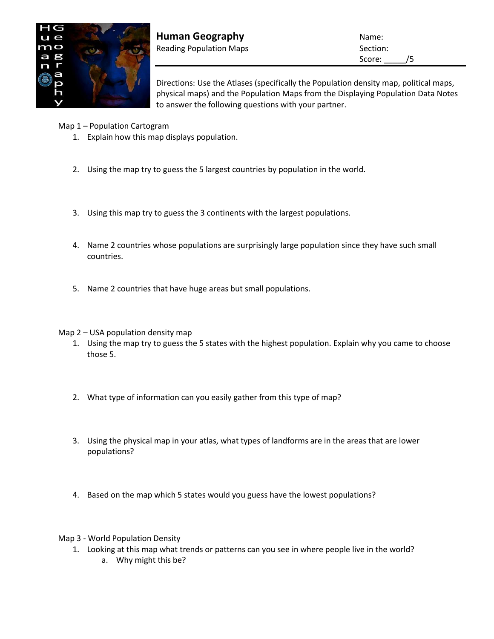

**Human Geography** Name: Reading Population Maps **Section:** Section:

Score: \_\_\_\_\_/5

Directions: Use the Atlases (specifically the Population density map, political maps, physical maps) and the Population Maps from the Displaying Population Data Notes to answer the following questions with your partner.

Map 1 – Population Cartogram

- 1. Explain how this map displays population.
- 2. Using the map try to guess the 5 largest countries by population in the world.
- 3. Using this map try to guess the 3 continents with the largest populations.
- 4. Name 2 countries whose populations are surprisingly large population since they have such small countries.
- 5. Name 2 countries that have huge areas but small populations.

Map 2 – USA population density map

- 1. Using the map try to guess the 5 states with the highest population. Explain why you came to choose those 5.
- 2. What type of information can you easily gather from this type of map?
- 3. Using the physical map in your atlas, what types of landforms are in the areas that are lower populations?
- 4. Based on the map which 5 states would you guess have the lowest populations?

Map 3 - World Population Density

- 1. Looking at this map what trends or patterns can you see in where people live in the world?
	- a. Why might this be?